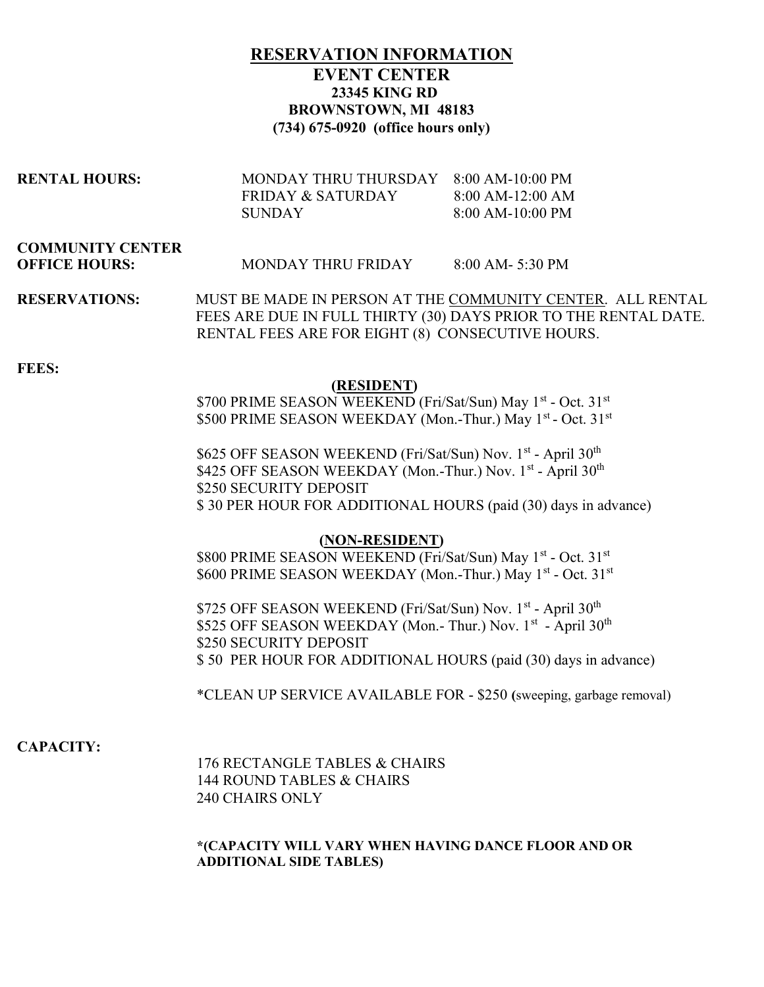# RESERVATION INFORMATION EVENT CENTER 23345 KING RD BROWNSTOWN, MI 48183 (734) 675-0920 (office hours only)

RENTAL HOURS: MONDAY THRU THURSDAY 8:00 AM-10:00 PM FRIDAY & SATURDAY 8:00 AM-12:00 AM SUNDAY 8:00 AM-10:00 PM

#### COMMUNITY CENTER **OFFICE HOURS:** MONDAY THRU FRIDAY 8:00 AM- 5:30 PM

RESERVATIONS: MUST BE MADE IN PERSON AT THE COMMUNITY CENTER. ALL RENTAL FEES ARE DUE IN FULL THIRTY (30) DAYS PRIOR TO THE RENTAL DATE. RENTAL FEES ARE FOR EIGHT (8) CONSECUTIVE HOURS.

#### FEES:

#### (RESIDENT)

\$700 PRIME SEASON WEEKEND (Fri/Sat/Sun) May 1<sup>st</sup> - Oct. 31<sup>st</sup> \$500 PRIME SEASON WEEKDAY (Mon.-Thur.) May 1<sup>st</sup> - Oct. 31<sup>st</sup>

\$625 OFF SEASON WEEKEND (Fri/Sat/Sun) Nov. 1<sup>st</sup> - April 30<sup>th</sup>  $$425$  OFF SEASON WEEKDAY (Mon.-Thur.) Nov. 1<sup>st</sup> - April 30<sup>th</sup> \$250 SECURITY DEPOSIT \$ 30 PER HOUR FOR ADDITIONAL HOURS (paid (30) days in advance)

### (NON-RESIDENT)

\$800 PRIME SEASON WEEKEND (Fri/Sat/Sun) May 1<sup>st</sup> - Oct. 31<sup>st</sup> \$600 PRIME SEASON WEEKDAY (Mon.-Thur.) May 1<sup>st</sup> - Oct. 31<sup>st</sup>

\$725 OFF SEASON WEEKEND (Fri/Sat/Sun) Nov. 1<sup>st</sup> - April 30<sup>th</sup>  $$525$  OFF SEASON WEEKDAY (Mon.- Thur.) Nov. 1<sup>st</sup> - April 30<sup>th</sup> \$250 SECURITY DEPOSIT \$ 50 PER HOUR FOR ADDITIONAL HOURS (paid (30) days in advance)

\*CLEAN UP SERVICE AVAILABLE FOR - \$250 (sweeping, garbage removal)

### CAPACITY:

 176 RECTANGLE TABLES & CHAIRS 144 ROUND TABLES & CHAIRS 240 CHAIRS ONLY

#### \*(CAPACITY WILL VARY WHEN HAVING DANCE FLOOR AND OR ADDITIONAL SIDE TABLES)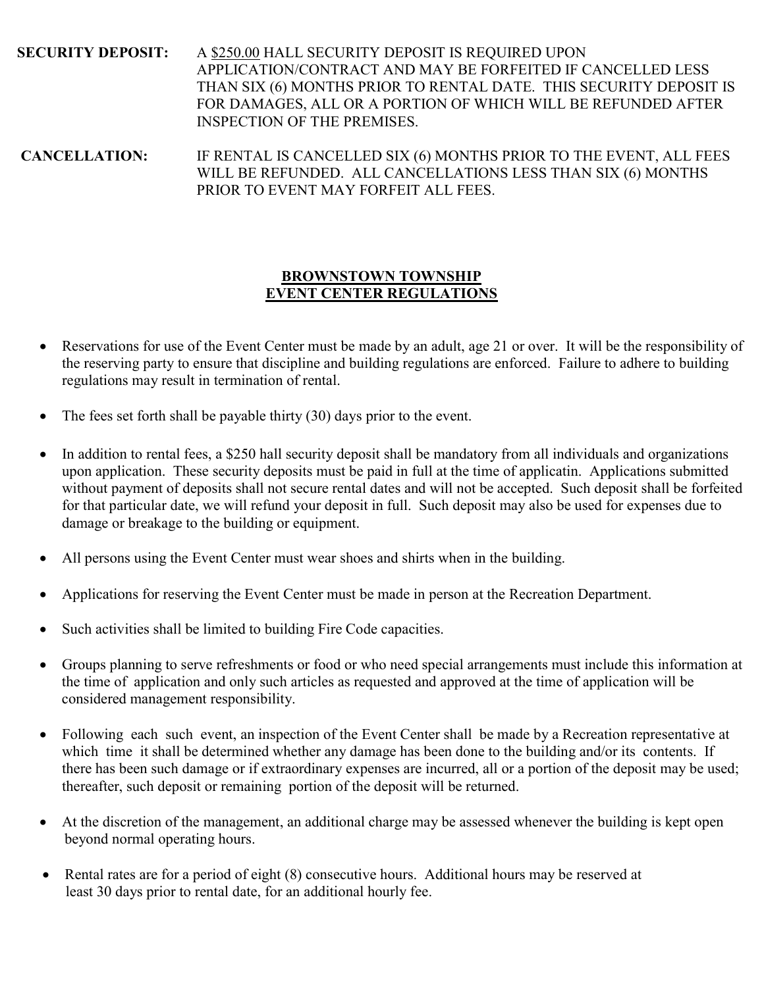### SECURITY DEPOSIT: A \$250.00 HALL SECURITY DEPOSIT IS REQUIRED UPON APPLICATION/CONTRACT AND MAY BE FORFEITED IF CANCELLED LESS THAN SIX (6) MONTHS PRIOR TO RENTAL DATE. THIS SECURITY DEPOSIT IS FOR DAMAGES, ALL OR A PORTION OF WHICH WILL BE REFUNDED AFTER INSPECTION OF THE PREMISES.

 CANCELLATION: IF RENTAL IS CANCELLED SIX (6) MONTHS PRIOR TO THE EVENT, ALL FEES WILL BE REFUNDED. ALL CANCELLATIONS LESS THAN SIX (6) MONTHS PRIOR TO EVENT MAY FORFEIT ALL FEES.

## BROWNSTOWN TOWNSHIP EVENT CENTER REGULATIONS

- Reservations for use of the Event Center must be made by an adult, age 21 or over. It will be the responsibility of the reserving party to ensure that discipline and building regulations are enforced. Failure to adhere to building regulations may result in termination of rental.
- The fees set forth shall be payable thirty (30) days prior to the event.
- In addition to rental fees, a \$250 hall security deposit shall be mandatory from all individuals and organizations upon application. These security deposits must be paid in full at the time of applicatin. Applications submitted without payment of deposits shall not secure rental dates and will not be accepted. Such deposit shall be forfeited for that particular date, we will refund your deposit in full. Such deposit may also be used for expenses due to damage or breakage to the building or equipment.
- All persons using the Event Center must wear shoes and shirts when in the building.
- Applications for reserving the Event Center must be made in person at the Recreation Department.
- Such activities shall be limited to building Fire Code capacities.
- Groups planning to serve refreshments or food or who need special arrangements must include this information at the time of application and only such articles as requested and approved at the time of application will be considered management responsibility.
- Following each such event, an inspection of the Event Center shall be made by a Recreation representative at which time it shall be determined whether any damage has been done to the building and/or its contents. If there has been such damage or if extraordinary expenses are incurred, all or a portion of the deposit may be used; thereafter, such deposit or remaining portion of the deposit will be returned.
- At the discretion of the management, an additional charge may be assessed whenever the building is kept open beyond normal operating hours.
- Rental rates are for a period of eight (8) consecutive hours. Additional hours may be reserved at least 30 days prior to rental date, for an additional hourly fee.